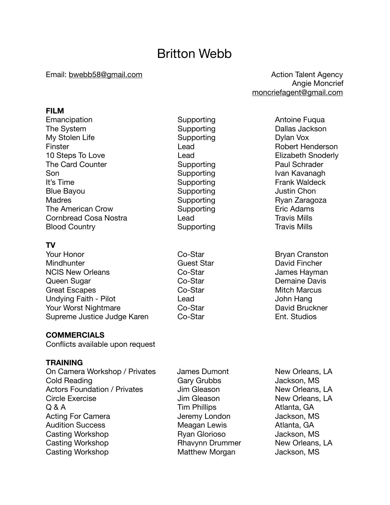# Britton Webb

#### Email: [bwebb58@gmail.com](mailto:bwebb58@gmail.com) butcherror and the Action Talent Agency

### **FILM**

Emancipation **Supporting Community** Supporting **Supporting** Antoine Fuqua The System Supporting Supporting Dallas Jackson My Stolen Life **Supporting COVID-MY** Supporting **Supporting COVID-MY** Dylan Vox Finster **Example 2018** Lead **CONFIDENT Robert Henderson** 10 Steps To Love **Lead Lead Container Elizabeth Snoderly** The Card Counter **Supporting Card Supporting Card Schrader Paul Schrader** Son Supporting Ivan Kavanagh It's Time **Supporting CELL CELL** Supporting *CELL* **CELL CELL CELL CELL SUPPORTING** Blue Bayou **Bullet Chone Contract Chone Chone Chone Chone Chone Chone Chone Chone Chone Chone Chone Chone Chone Chone Chone Chone Chone Chone Chone Chone Chone Chone Chone Chone Chone Chone Chone Chone Chone Chone Chone Ch** Madres **Madres** *Madres*  **Example 3** Supporting *Ryan Zaragoza* The American Crow **Supporting Example 20** Eric Adams Cornbread Cosa Nostra **Constructs** Lead Travis Mills Blood Country **Blood Country Blood Country COUNTER** 

# **TV**

Your Honor **Co-Star Co-Star Bryan Cranston** Mindhunter **Mindhunter** *Cuest Star* **Cuest Star David Fincher** NCIS New Orleans **Burges** Co-Star **Contains Communist Contains Contains Contains Contains Contains National Lames Hayman** Queen Sugar **Co-Star Co-Star Co-Star Demaine Davis** Great Escapes Co-Star Mitch Marcus Undying Faith - Pilot **Communist Communist Communist Communist Communist Communist Communist Communist Communist Communist Communist Communist Communist Communist Communist Communist Communist Communist Communist Communist** Your Worst Nightmare **Co-Star Co-Star Co-Star David Bruckner** Supreme Justice Judge Karen Co-Star **Contained Communist Contained Contained Contained Contained Contained Conta** 

# **COMMERCIALS**

Conflicts available upon request

# **TRAINING**

On Camera Workshop / Privates James Dumont New Orleans, LA Cold Reading **Cold Reading Cold Reading Cold Reading Cold Reading** Actors Foundation / Privates and Dum Gleason and New Orleans, LA Circle Exercise **Contains Container Contains Contains Circle Exercise and Contains Contains Contains Contains** Q & A Tim Phillips Atlanta, GA Acting For Camera 
and the University London and Jackson, MS Audition Success **The Contract Contract Contract Contract Contract Contract Contract Contract Contract Contract Contract Contract Contract Contract Contract Contract Contract Contract Contract Contract Contract Contract Co** Casting Workshop **Brand Contract Casting Workshop Ryan Glorioso Casting Workshop** Casting Workshop **Brand Communist Casting Workshop Casting Workshop Casting Workshop** Casting Workshop **Casting Workshop** Matthew Morgan Jackson, MS

 Angie Moncrief [moncriefagent@gmail.com](mailto:moncriefagent@gmail.com)